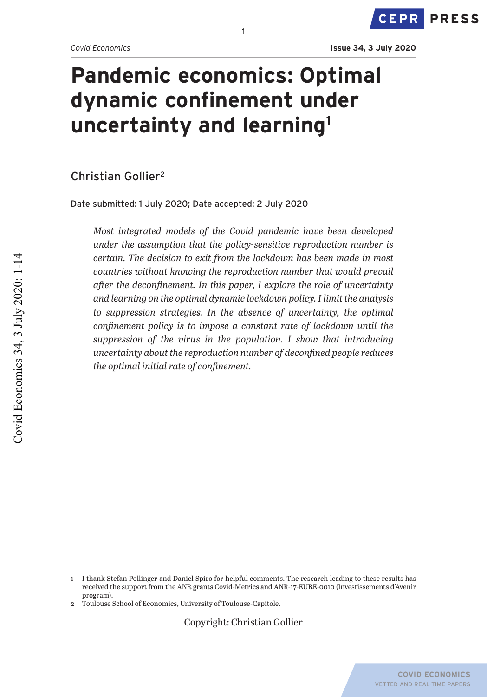# **Pandemic economics: Optimal dynamic confinement under uncertainty and learning1**

1

Christian Gollier2

Date submitted: 1 July 2020; Date accepted: 2 July 2020

*Most integrated models of the Covid pandemic have been developed under the assumption that the policy-sensitive reproduction number is certain. The decision to exit from the lockdown has been made in most countries without knowing the reproduction number that would prevail after the deconfinement. In this paper, I explore the role of uncertainty and learning on the optimal dynamic lockdown policy. I limit the analysis to suppression strategies. In the absence of uncertainty, the optimal confinement policy is to impose a constant rate of lockdown until the suppression of the virus in the population. I show that introducing uncertainty about the reproduction number of deconfined people reduces the optimal initial rate of confinement.*

2 Toulouse School of Economics, University of Toulouse-Capitole.

Copyright: Christian Gollier

<sup>1</sup> I thank Stefan Pollinger and Daniel Spiro for helpful comments. The research leading to these results has received the support from the ANR grants Covid-Metrics and ANR-17-EURE-0010 (Investissements d'Avenir program).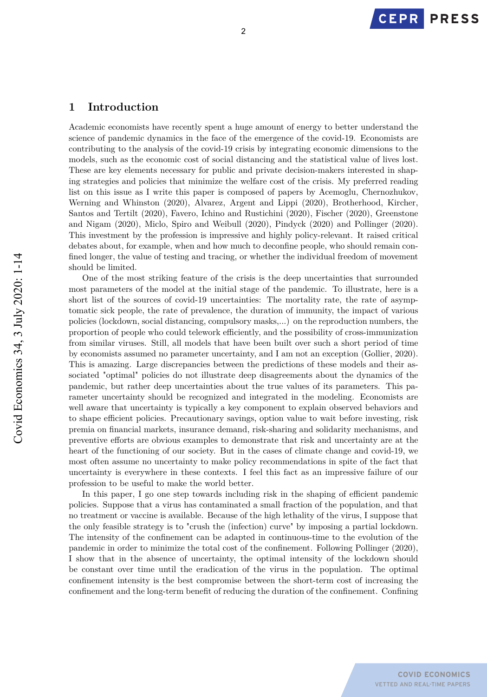# **1 Introduction**

Academic economists have recently spent a huge amount of energy to better understand the science of pandemic dynamics in the face of the emergence of the covid-19. Economists are contributing to the analysis of the covid-19 crisis by integrating economic dimensions to the models, such as the economic cost of social distancing and the statistical value of lives lost. These are key elements necessary for public and private decision-makers interested in shaping strategies and policies that minimize the welfare cost of the crisis. My preferred reading list on this issue as I write this paper is composed of papers by Acemoglu, Chernozhukov, Werning and Whinston (2020), Alvarez, Argent and Lippi (2020), Brotherhood, Kircher, Santos and Tertilt (2020), Favero, Ichino and Rustichini (2020), Fischer (2020), Greenstone and Nigam (2020), Miclo, Spiro and Weibull (2020), Pindyck (2020) and Pollinger (2020). This investment by the profession is impressive and highly policy-relevant. It raised critical debates about, for example, when and how much to deconfine people, who should remain confined longer, the value of testing and tracing, or whether the individual freedom of movement should be limited.

One of the most striking feature of the crisis is the deep uncertainties that surrounded most parameters of the model at the initial stage of the pandemic. To illustrate, here is a short list of the sources of covid-19 uncertainties: The mortality rate, the rate of asymptomatic sick people, the rate of prevalence, the duration of immunity, the impact of various policies (lockdown, social distancing, compulsory masks,...) on the reproduction numbers, the proportion of people who could telework efficiently, and the possibility of cross-immunization from similar viruses. Still, all models that have been built over such a short period of time by economists assumed no parameter uncertainty, and I am not an exception (Gollier, 2020). This is amazing. Large discrepancies between the predictions of these models and their associated "optimal" policies do not illustrate deep disagreements about the dynamics of the pandemic, but rather deep uncertainties about the true values of its parameters. This parameter uncertainty should be recognized and integrated in the modeling. Economists are well aware that uncertainty is typically a key component to explain observed behaviors and to shape efficient policies. Precautionary savings, option value to wait before investing, risk premia on financial markets, insurance demand, risk-sharing and solidarity mechanisms, and preventive efforts are obvious examples to demonstrate that risk and uncertainty are at the heart of the functioning of our society. But in the cases of climate change and covid-19, we most often assume no uncertainty to make policy recommendations in spite of the fact that uncertainty is everywhere in these contexts. I feel this fact as an impressive failure of our profession to be useful to make the world better.

In this paper, I go one step towards including risk in the shaping of efficient pandemic policies. Suppose that a virus has contaminated a small fraction of the population, and that no treatment or vaccine is available. Because of the high lethality of the virus, I suppose that the only feasible strategy is to "crush the (infection) curve" by imposing a partial lockdown. The intensity of the confinement can be adapted in continuous-time to the evolution of the pandemic in order to minimize the total cost of the confinement. Following Pollinger (2020), I show that in the absence of uncertainty, the optimal intensity of the lockdown should be constant over time until the eradication of the virus in the population. The optimal confinement intensity is the best compromise between the short-term cost of increasing the confinement and the long-term benefit of reducing the duration of the confinement. Confining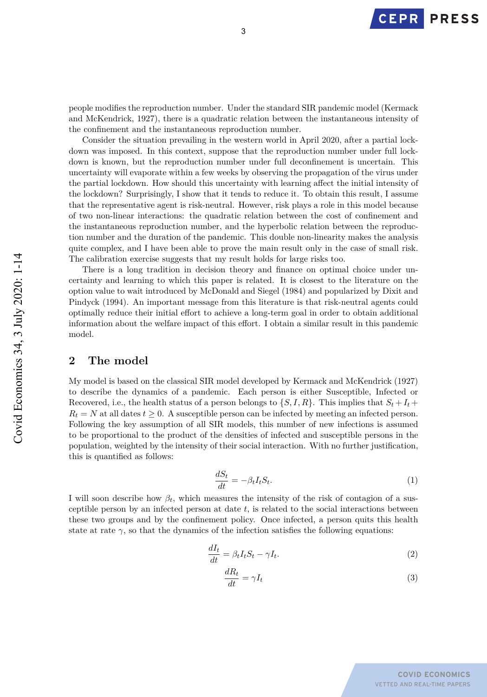

people modifies the reproduction number. Under the standard SIR pandemic model (Kermack and McKendrick, 1927), there is a quadratic relation between the instantaneous intensity of the confinement and the instantaneous reproduction number.

Consider the situation prevailing in the western world in April 2020, after a partial lockdown was imposed. In this context, suppose that the reproduction number under full lockdown is known, but the reproduction number under full deconfinement is uncertain. This uncertainty will evaporate within a few weeks by observing the propagation of the virus under the partial lockdown. How should this uncertainty with learning affect the initial intensity of the lockdown? Surprisingly, I show that it tends to reduce it. To obtain this result, I assume that the representative agent is risk-neutral. However, risk plays a role in this model because of two non-linear interactions: the quadratic relation between the cost of confinement and the instantaneous reproduction number, and the hyperbolic relation between the reproduction number and the duration of the pandemic. This double non-linearity makes the analysis quite complex, and I have been able to prove the main result only in the case of small risk. The calibration exercise suggests that my result holds for large risks too.

There is a long tradition in decision theory and finance on optimal choice under uncertainty and learning to which this paper is related. It is closest to the literature on the option value to wait introduced by McDonald and Siegel (1984) and popularized by Dixit and Pindyck (1994). An important message from this literature is that risk-neutral agents could optimally reduce their initial effort to achieve a long-term goal in order to obtain additional information about the welfare impact of this effort. I obtain a similar result in this pandemic model.

## **2 The model**

My model is based on the classical SIR model developed by Kermack and McKendrick (1927) to describe the dynamics of a pandemic. Each person is either Susceptible, Infected or Recovered, i.e., the health status of a person belongs to  $\{S, I, R\}$ . This implies that  $S_t + I_t$  $R_t = N$  at all dates  $t \geq 0$ . A susceptible person can be infected by meeting an infected person. Following the key assumption of all SIR models, this number of new infections is assumed to be proportional to the product of the densities of infected and susceptible persons in the population, weighted by the intensity of their social interaction. With no further justification, this is quantified as follows:

$$
\frac{dS_t}{dt} = -\beta_t I_t S_t.
$$
\n(1)

I will soon describe how  $\beta_t$ , which measures the intensity of the risk of contagion of a susceptible person by an infected person at date *t*, is related to the social interactions between these two groups and by the confinement policy. Once infected, a person quits this health state at rate  $\gamma$ , so that the dynamics of the infection satisfies the following equations:

$$
\frac{dI_t}{dt} = \beta_t I_t S_t - \gamma I_t.
$$
\n(2)

$$
\frac{dR_t}{dt} = \gamma I_t \tag{3}
$$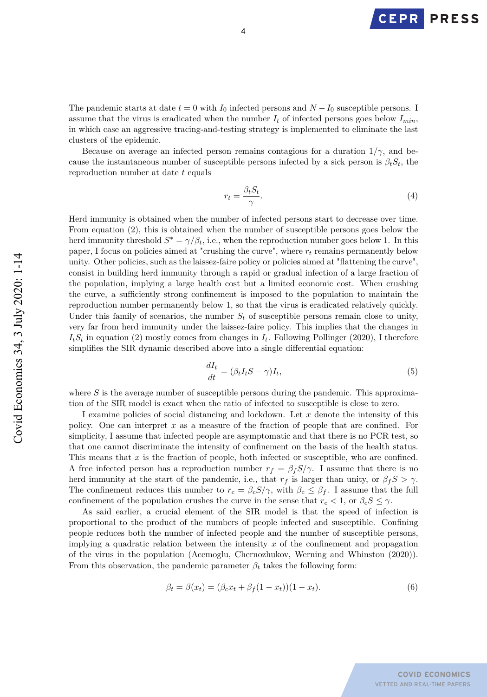**PRESS CEPR** 

The pandemic starts at date  $t = 0$  with  $I_0$  infected persons and  $N - I_0$  susceptible persons. I assume that the virus is eradicated when the number  $I_t$  of infected persons goes below  $I_{min}$ , in which case an aggressive tracing-and-testing strategy is implemented to eliminate the last clusters of the epidemic.

Because on average an infected person remains contagious for a duration  $1/\gamma$ , and because the instantaneous number of susceptible persons infected by a sick person is  $\beta_t S_t$ , the reproduction number at date *t* equals

$$
r_t = \frac{\beta_t S_t}{\gamma}.\tag{4}
$$

Herd immunity is obtained when the number of infected persons start to decrease over time. From equation (2), this is obtained when the number of susceptible persons goes below the herd immunity threshold  $S^* = \gamma/\beta_t$ , i.e., when the reproduction number goes below 1. In this paper, I focus on policies aimed at "crushing the curve", where *r<sup>t</sup>* remains permanently below unity. Other policies, such as the laissez-faire policy or policies aimed at "flattening the curve", consist in building herd immunity through a rapid or gradual infection of a large fraction of the population, implying a large health cost but a limited economic cost. When crushing the curve, a sufficiently strong confinement is imposed to the population to maintain the reproduction number permanently below 1, so that the virus is eradicated relatively quickly. Under this family of scenarios, the number  $S_t$  of susceptible persons remain close to unity, very far from herd immunity under the laissez-faire policy. This implies that the changes in  $I_tS_t$  in equation (2) mostly comes from changes in  $I_t$ . Following Pollinger (2020), I therefore simplifies the SIR dynamic described above into a single differential equation:

$$
\frac{dI_t}{dt} = (\beta_t I_t S - \gamma) I_t,\tag{5}
$$

where *S* is the average number of susceptible persons during the pandemic. This approximation of the SIR model is exact when the ratio of infected to susceptible is close to zero.

I examine policies of social distancing and lockdown. Let *x* denote the intensity of this policy. One can interpret *x* as a measure of the fraction of people that are confined. For simplicity, I assume that infected people are asymptomatic and that there is no PCR test, so that one cannot discriminate the intensity of confinement on the basis of the health status. This means that *x* is the fraction of people, both infected or susceptible, who are confined. A free infected person has a reproduction number  $r_f = \beta_f S/\gamma$ . I assume that there is no herd immunity at the start of the pandemic, i.e., that  $r_f$  is larger than unity, or  $\beta_f S > \gamma$ . The confinement reduces this number to  $r_c = \beta_c S/\gamma$ , with  $\beta_c \leq \beta_f$ . I assume that the full confinement of the population crushes the curve in the sense that  $r_c < 1$ , or  $\beta_c S \leq \gamma$ .

As said earlier, a crucial element of the SIR model is that the speed of infection is proportional to the product of the numbers of people infected and susceptible. Confining people reduces both the number of infected people and the number of susceptible persons, implying a quadratic relation between the intensity *x* of the confinement and propagation of the virus in the population (Acemoglu, Chernozhukov, Werning and Whinston (2020)). From this observation, the pandemic parameter  $\beta_t$  takes the following form:

$$
\beta_t = \beta(x_t) = (\beta_c x_t + \beta_f (1 - x_t))(1 - x_t).
$$
\n(6)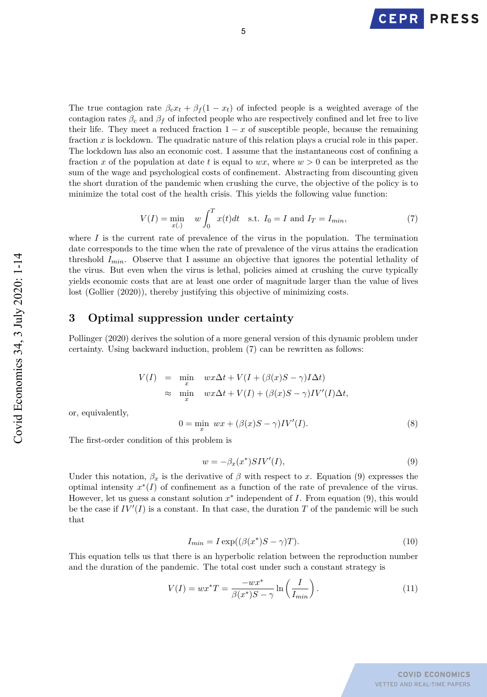

The true contagion rate  $\beta_c x_t + \beta_f (1 - x_t)$  of infected people is a weighted average of the contagion rates  $\beta_c$  and  $\beta_f$  of infected people who are respectively confined and let free to live their life. They meet a reduced fraction  $1 - x$  of susceptible people, because the remaining fraction *x* is lockdown. The quadratic nature of this relation plays a crucial role in this paper. The lockdown has also an economic cost. I assume that the instantaneous cost of confining a fraction *x* of the population at date *t* is equal to  $wx$ , where  $w > 0$  can be interpreted as the sum of the wage and psychological costs of confinement. Abstracting from discounting given the short duration of the pandemic when crushing the curve, the objective of the policy is to minimize the total cost of the health crisis. This yields the following value function:

$$
V(I) = \min_{x(.)} \quad w \int_0^T x(t)dt \quad \text{s.t. } I_0 = I \text{ and } I_T = I_{min},
$$
 (7)

where  $I$  is the current rate of prevalence of the virus in the population. The termination date corresponds to the time when the rate of prevalence of the virus attains the eradication threshold *Imin*. Observe that I assume an objective that ignores the potential lethality of the virus. But even when the virus is lethal, policies aimed at crushing the curve typically yields economic costs that are at least one order of magnitude larger than the value of lives lost (Gollier (2020)), thereby justifying this objective of minimizing costs.

## **3 Optimal suppression under certainty**

Pollinger (2020) derives the solution of a more general version of this dynamic problem under certainty. Using backward induction, problem (7) can be rewritten as follows:

$$
\begin{array}{rcl} V(I) & = & \min\limits_x & w x \Delta t + V(I+(\beta(x)S-\gamma)I\Delta t) \\ & \approx & \min\limits_x & w x \Delta t + V(I)+(\beta(x)S-\gamma)IV'(I)\Delta t, \end{array}
$$

or, equivalently,

$$
0 = \min_{x} wx + (\beta(x)S - \gamma)IV'(I). \tag{8}
$$

The first-order condition of this problem is

$$
w = -\beta_x(x^*) SIV'(I),\tag{9}
$$

Under this notation,  $\beta_x$  is the derivative of  $\beta$  with respect to *x*. Equation (9) expresses the optimal intensity *x* <sup>∗</sup>(*I*) of confinement as a function of the rate of prevalence of the virus. However, let us guess a constant solution *x* ∗ independent of *I*. From equation (9), this would be the case if  $IV'(I)$  is a constant. In that case, the duration *T* of the pandemic will be such that

$$
I_{min} = I \exp((\beta(x^*)S - \gamma)T). \tag{10}
$$

This equation tells us that there is an hyperbolic relation between the reproduction number and the duration of the pandemic. The total cost under such a constant strategy is

$$
V(I) = wx^*T = \frac{-wx^*}{\beta(x^*)S - \gamma} \ln\left(\frac{I}{I_{min}}\right). \tag{11}
$$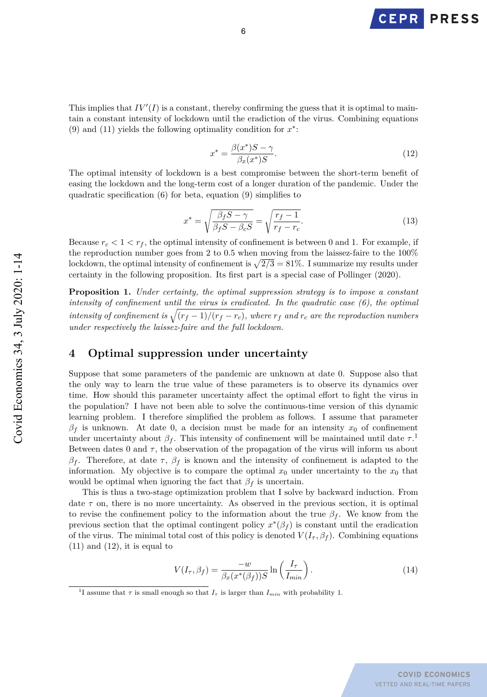

This implies that  $IV'(I)$  is a constant, thereby confirming the guess that it is optimal to maintain a constant intensity of lockdown until the eradiction of the virus. Combining equations (9) and (11) yields the following optimality condition for  $x^*$ :

$$
x^* = \frac{\beta(x^*)S - \gamma}{\beta_x(x^*)S}.
$$
\n(12)

The optimal intensity of lockdown is a best compromise between the short-term benefit of easing the lockdown and the long-term cost of a longer duration of the pandemic. Under the quadratic specification (6) for beta, equation (9) simplifies to

$$
x^* = \sqrt{\frac{\beta_f S - \gamma}{\beta_f S - \beta_c S}} = \sqrt{\frac{r_f - 1}{r_f - r_c}}.
$$
\n(13)

Because  $r_c < 1 < r_f$ , the optimal intensity of confinement is between 0 and 1. For example, if the reproduction number goes from 2 to 0.5 when moving from the laissez-faire to the 100% lockdown, the optimal intensity of confinement is  $\sqrt{2/3} = 81\%$ . I summarize my results under certainty in the following proposition. Its first part is a special case of Pollinger (2020).

**Proposition 1.** *Under certainty, the optimal suppression strategy is to impose a constant intensity of confinement until the virus is eradicated. In the quadratic case (6), the optimal intensity of confinement is*  $\sqrt{(r_f-1)/(r_f-r_c)}$ , where  $r_f$  and  $r_c$  are the reproduction numbers *under respectively the laissez-faire and the full lockdown.*

## **4 Optimal suppression under uncertainty**

Suppose that some parameters of the pandemic are unknown at date 0. Suppose also that the only way to learn the true value of these parameters is to observe its dynamics over time. How should this parameter uncertainty affect the optimal effort to fight the virus in the population? I have not been able to solve the continuous-time version of this dynamic learning problem. I therefore simplified the problem as follows. I assume that parameter  $\beta_f$  is unknown. At date 0, a decision must be made for an intensity  $x_0$  of confinement under uncertainty about  $\beta_f$ . This intensity of confinement will be maintained until date  $\tau$ .<sup>1</sup> Between dates 0 and  $\tau$ , the observation of the propagation of the virus will inform us about *β<sup>f</sup>* . Therefore, at date *τ* , *β<sup>f</sup>* is known and the intensity of confinement is adapted to the information. My objective is to compare the optimal  $x_0$  under uncertainty to the  $x_0$  that would be optimal when ignoring the fact that  $\beta_f$  is uncertain.

This is thus a two-stage optimization problem that I solve by backward induction. From date  $\tau$  on, there is no more uncertainty. As observed in the previous section, it is optimal to revise the confinement policy to the information about the true  $\beta_f$ . We know from the previous section that the optimal contingent policy  $x^*(\beta_f)$  is constant until the eradication of the virus. The minimal total cost of this policy is denoted  $V(I_{\tau}, \beta_f)$ . Combining equations  $(11)$  and  $(12)$ , it is equal to

$$
V(I_{\tau}, \beta_f) = \frac{-w}{\beta_x(x^*(\beta_f))S} \ln\left(\frac{I_{\tau}}{I_{min}}\right). \tag{14}
$$

<sup>&</sup>lt;sup>1</sup>I assume that  $\tau$  is small enough so that  $I_{\tau}$  is larger than  $I_{min}$  with probability 1.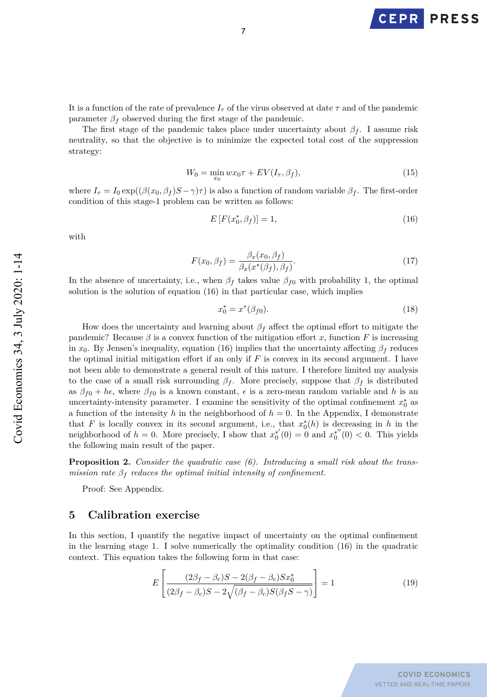**PRESS** 

It is a function of the rate of prevalence  $I_{\tau}$  of the virus observed at date  $\tau$  and of the pandemic parameter  $\beta_f$  observed during the first stage of the pandemic.

The first stage of the pandemic takes place under uncertainty about  $\beta_f$ . I assume risk neutrality, so that the objective is to minimize the expected total cost of the suppression strategy:

$$
W_0 = \min_{x_0} wx_0 \tau + EV(I_\tau, \beta_f),\tag{15}
$$

where  $I_{\tau} = I_0 \exp((\beta(x_0, \beta_f)S - \gamma)\tau)$  is also a function of random variable  $\beta_f$ . The first-order condition of this stage-1 problem can be written as follows:

$$
E\left[F(x_0^*, \beta_f)\right] = 1,\t(16)
$$

with

$$
F(x_0, \beta_f) = \frac{\beta_x(x_0, \beta_f)}{\beta_x(x^*(\beta_f), \beta_f)}.
$$
\n(17)

In the absence of uncertainty, i.e., when  $\beta_f$  takes value  $\beta_{f0}$  with probability 1, the optimal solution is the solution of equation (16) in that particular case, which implies

$$
x_0^* = x^*(\beta_{f0}).
$$
\n(18)

How does the uncertainty and learning about  $\beta_f$  affect the optimal effort to mitigate the pandemic? Because  $\beta$  is a convex function of the mitigation effort *x*, function *F* is increasing in *x*<sub>0</sub>. By Jensen's inequality, equation (16) implies that the uncertainty affecting  $\beta_f$  reduces the optimal initial mitigation effort if an only if *F* is convex in its second argument. I have not been able to demonstrate a general result of this nature. I therefore limited my analysis to the case of a small risk surrounding  $\beta_f$ . More precisely, suppose that  $\beta_f$  is distributed as  $\beta_{f0} + h\epsilon$ , where  $\beta_{f0}$  is a known constant,  $\epsilon$  is a zero-mean random variable and h is an uncertainty-intensity parameter. I examine the sensitivity of the optimal confinement  $x_0^*$  as a function of the intensity *h* in the neighborhood of  $h = 0$ . In the Appendix, I demonstrate that *F* is locally convex in its second argument, i.e., that  $x_0^*(h)$  is decreasing in *h* in the neighborhood of  $h = 0$ . More precisely, I show that  $x_0^{*'}(0) = 0$  and  $x_0^{*''}(0) < 0$ . This yields the following main result of the paper.

**Proposition 2.** *Consider the quadratic case (6). Introducing a small risk about the transmission rate*  $\beta_f$  *reduces the optimal initial intensity of confinement.* 

Proof: See Appendix.

#### **5 Calibration exercise**

In this section, I quantify the negative impact of uncertainty on the optimal confinement in the learning stage 1. I solve numerically the optimality condition (16) in the quadratic context. This equation takes the following form in that case:

$$
E\left[\frac{(2\beta_f - \beta_c)S - 2(\beta_f - \beta_c)Sx_0^*}{(2\beta_f - \beta_c)S - 2\sqrt{(\beta_f - \beta_c)S(\beta_f S - \gamma)}}\right] = 1
$$
\n(19)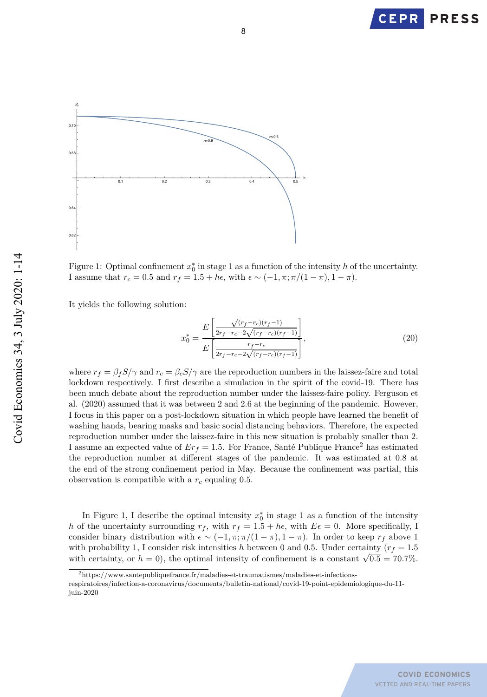



Figure 1: Optimal confinement  $x_0^*$  in stage 1 as a function of the intensity *h* of the uncertainty. I assume that  $r_c = 0.5$  and  $r_f = 1.5 + h\epsilon$ , with  $\epsilon \sim (-1, \pi; \pi/(1-\pi), 1-\pi)$ .

It yields the following solution:

juin-2020

$$
x_0^* = \frac{E\left[\frac{\sqrt{(r_f - r_c)(r_f - 1)}}{2r_f - r_c - 2\sqrt{(r_f - r_c)(r_f - 1)}}\right]}{E\left[\frac{r_f - r_c}{2r_f - r_c - 2\sqrt{(r_f - r_c)(r_f - 1)}}\right]},\tag{20}
$$

where  $r_f = \beta_f S/\gamma$  and  $r_c = \beta_c S/\gamma$  are the reproduction numbers in the laissez-faire and total lockdown respectively. I first describe a simulation in the spirit of the covid-19. There has been much debate about the reproduction number under the laissez-faire policy. Ferguson et al. (2020) assumed that it was between 2 and 2.6 at the beginning of the pandemic. However, I focus in this paper on a post-lockdown situation in which people have learned the benefit of washing hands, bearing masks and basic social distancing behaviors. Therefore, the expected reproduction number under the laissez-faire in this new situation is probably smaller than 2. I assume an expected value of  $Er_f = 1.5$ . For France, Santé Publique France<sup>2</sup> has estimated the reproduction number at different stages of the pandemic. It was estimated at 0.8 at the end of the strong confinement period in May. Because the confinement was partial, this observation is compatible with a *r<sup>c</sup>* equaling 0.5.

In Figure 1, I describe the optimal intensity  $x_0^*$  in stage 1 as a function of the intensity *h* of the uncertainty surrounding  $r_f$ , with  $r_f = 1.5 + h\epsilon$ , with  $E\epsilon = 0$ . More specifically, I consider binary distribution with  $\epsilon \sim (-1, \pi; \pi/(1-\pi), 1-\pi)$ . In order to keep  $r_f$  above 1 with probability 1, I consider risk intensities *h* between 0 and 0.5. Under certainty ( $r_f = 1.5$ ) with probability 1, I consider tisk intensities *h* between 0 and 0.5. Under certainty  $(r_f = 1.5$  with certainty, or  $h = 0$ , the optimal intensity of confinement is a constant  $\sqrt{0.5} = 70.7\%$ .

<sup>2</sup>https://www.santepubliquefrance.fr/maladies-et-traumatismes/maladies-et-infectionsrespiratoires/infection-a-coronavirus/documents/bulletin-national/covid-19-point-epidemiologique-du-11-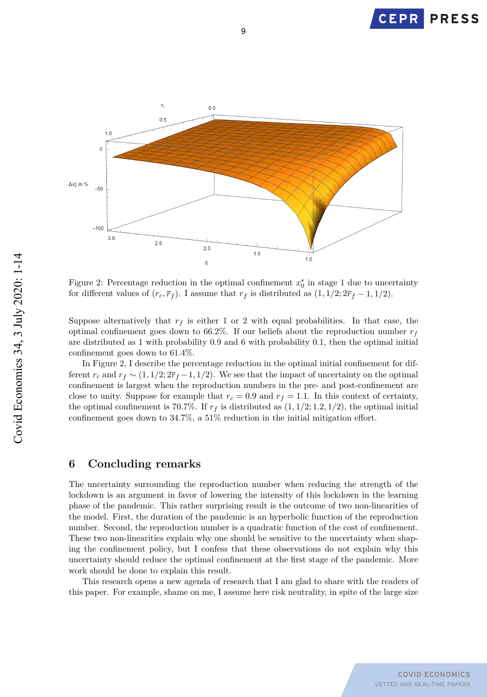



9

Figure 2: Percentage reduction in the optimal confinement  $x_0^*$  in stage 1 due to uncertainty for different values of  $(r_c, \overline{r}_f)$ . I assume that  $r_f$  is distributed as  $(1, 1/2; 2\overline{r}_f - 1, 1/2)$ .

Suppose alternatively that  $r_f$  is either 1 or 2 with equal probabilities. In that case, the optimal confinement goes down to 66.2%. If our beliefs about the reproduction number  $r<sub>f</sub>$ are distributed as 1 with probability 0.9 and 6 with probability 0.1, then the optimal initial confinement goes down to 61*.*4%.

In Figure 2, I describe the percentage reduction in the optimal initial confinement for different  $r_c$  and  $r_f \sim (1, 1/2; 2\overline{r}_f - 1, 1/2)$ . We see that the impact of uncertainty on the optimal confinement is largest when the reproduction numbers in the pre- and post-confinement are close to unity. Suppose for example that  $r_c = 0.9$  and  $r_f = 1.1$ . In this context of certainty, the optimal confinement is 70.7%. If  $r_f$  is distributed as  $(1, 1/2; 1.2, 1/2)$ , the optimal initial confinement goes down to 34.7%, a 51% reduction in the initial mitigation effort.

### **6 Concluding remarks**

The uncertainty surrounding the reproduction number when reducing the strength of the lockdown is an argument in favor of lowering the intensity of this lockdown in the learning phase of the pandemic. This rather surprising result is the outcome of two non-linearities of the model. First, the duration of the pandemic is an hyperbolic function of the reproduction number. Second, the reproduction number is a quadratic function of the cost of confinement. These two non-linearities explain why one should be sensitive to the uncertainty when shaping the confinement policy, but I confess that these observations do not explain why this uncertainty should reduce the optimal confinement at the first stage of the pandemic. More work should be done to explain this result.

This research opens a new agenda of research that I am glad to share with the readers of this paper. For example, shame on me, I assume here risk neutrality, in spite of the large size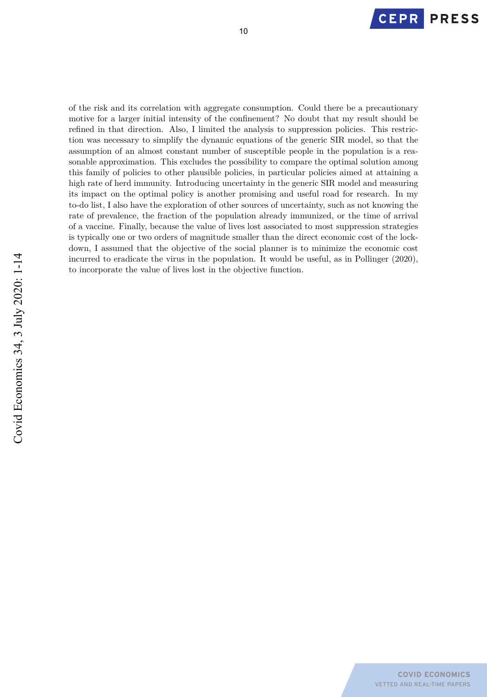

of the risk and its correlation with aggregate consumption. Could there be a precautionary motive for a larger initial intensity of the confinement? No doubt that my result should be refined in that direction. Also, I limited the analysis to suppression policies. This restriction was necessary to simplify the dynamic equations of the generic SIR model, so that the assumption of an almost constant number of susceptible people in the population is a reasonable approximation. This excludes the possibility to compare the optimal solution among this family of policies to other plausible policies, in particular policies aimed at attaining a high rate of herd immunity. Introducing uncertainty in the generic SIR model and measuring its impact on the optimal policy is another promising and useful road for research. In my to-do list, I also have the exploration of other sources of uncertainty, such as not knowing the rate of prevalence, the fraction of the population already immunized, or the time of arrival of a vaccine. Finally, because the value of lives lost associated to most suppression strategies is typically one or two orders of magnitude smaller than the direct economic cost of the lockdown, I assumed that the objective of the social planner is to minimize the economic cost incurred to eradicate the virus in the population. It would be useful, as in Pollinger (2020), to incorporate the value of lives lost in the objective function.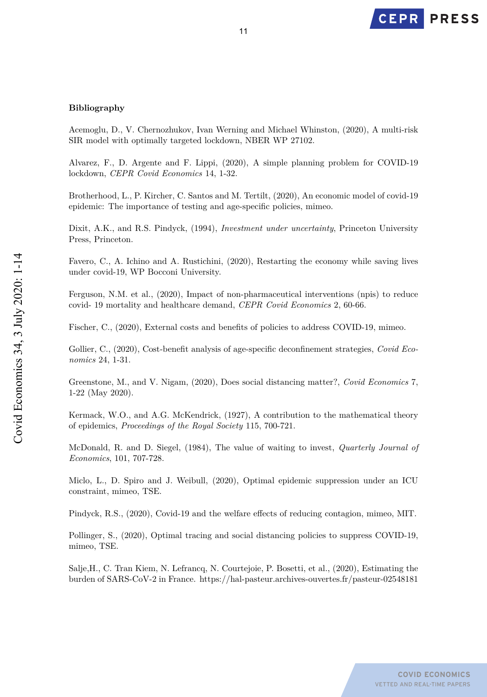

#### **Bibliography**

Acemoglu, D., V. Chernozhukov, Ivan Werning and Michael Whinston, (2020), A multi-risk SIR model with optimally targeted lockdown, NBER WP 27102.

Alvarez, F., D. Argente and F. Lippi, (2020), A simple planning problem for COVID-19 lockdown, *CEPR Covid Economics* 14, 1-32.

Brotherhood, L., P. Kircher, C. Santos and M. Tertilt, (2020), An economic model of covid-19 epidemic: The importance of testing and age-specific policies, mimeo.

Dixit, A.K., and R.S. Pindyck, (1994), *Investment under uncertainty*, Princeton University Press, Princeton.

Favero, C., A. Ichino and A. Rustichini, (2020), Restarting the economy while saving lives under covid-19, WP Bocconi University.

Ferguson, N.M. et al., (2020), Impact of non-pharmaceutical interventions (npis) to reduce covid- 19 mortality and healthcare demand, *CEPR Covid Economics* 2, 60-66.

Fischer, C., (2020), External costs and benefits of policies to address COVID-19, mimeo.

Gollier, C., (2020), Cost-benefit analysis of age-specific deconfinement strategies, *Covid Economics* 24, 1-31.

Greenstone, M., and V. Nigam, (2020), Does social distancing matter?, *Covid Economics* 7, 1-22 (May 2020).

Kermack, W.O., and A.G. McKendrick, (1927), A contribution to the mathematical theory of epidemics, *Proceedings of the Royal Society* 115, 700-721.

McDonald, R. and D. Siegel, (1984), The value of waiting to invest, *Quarterly Journal of Economics*, 101, 707-728.

Miclo, L., D. Spiro and J. Weibull, (2020), Optimal epidemic suppression under an ICU constraint, mimeo, TSE.

Pindyck, R.S., (2020), Covid-19 and the welfare effects of reducing contagion, mimeo, MIT.

Pollinger, S., (2020), Optimal tracing and social distancing policies to suppress COVID-19, mimeo, TSE.

Salje,H., C. Tran Kiem, N. Lefrancq, N. Courtejoie, P. Bosetti, et al., (2020), Estimating the burden of SARS-CoV-2 in France. https://hal-pasteur.archives-ouvertes.fr/pasteur-02548181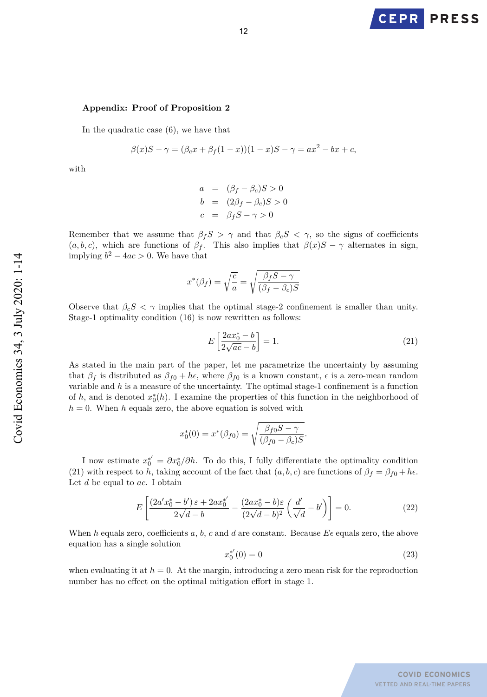

#### **Appendix: Proof of Proposition 2**

In the quadratic case (6), we have that

$$
\beta(x)S - \gamma = (\beta_c x + \beta_f (1 - x))(1 - x)S - \gamma = ax^2 - bx + c,
$$

with

$$
a = (\beta_f - \beta_c)S > 0
$$
  
\n
$$
b = (2\beta_f - \beta_c)S > 0
$$
  
\n
$$
c = \beta_f S - \gamma > 0
$$

Remember that we assume that  $\beta_f S > \gamma$  and that  $\beta_c S < \gamma$ , so the signs of coefficients  $(a, b, c)$ , which are functions of  $\beta_f$ . This also implies that  $\beta(x)S - \gamma$  alternates in sign, implying  $b^2 - 4ac > 0$ . We have that

$$
x^*(\beta_f)=\sqrt{\frac{c}{a}}=\sqrt{\frac{\beta_f S-\gamma}{(\beta_f-\beta_c)S}}
$$

Observe that  $\beta_c S < \gamma$  implies that the optimal stage-2 confinement is smaller than unity. Stage-1 optimality condition (16) is now rewritten as follows:

$$
E\left[\frac{2ax_0^* - b}{2\sqrt{ac} - b}\right] = 1.
$$
\n(21)

*.*

As stated in the main part of the paper, let me parametrize the uncertainty by assuming that  $\beta_f$  is distributed as  $\beta_{f0} + h\epsilon$ , where  $\beta_{f0}$  is a known constant,  $\epsilon$  is a zero-mean random variable and *h* is a measure of the uncertainty. The optimal stage-1 confinement is a function of  $h$ , and is denoted  $x_0^*(h)$ . I examine the properties of this function in the neighborhood of  $h = 0$ . When *h* equals zero, the above equation is solved with

$$
x_0^*(0) = x^*(\beta_{f0}) = \sqrt{\frac{\beta_{f0}S - \gamma}{(\beta_{f0} - \beta_c)S}}
$$

I now estimate  $x_0^* = \partial x_0^* / \partial h$ . To do this, I fully differentiate the optimality condition (21) with respect to *h*, taking account of the fact that  $(a, b, c)$  are functions of  $\beta_f = \beta_{f0} + h\epsilon$ . Let *d* be equal to *ac*. I obtain

$$
E\left[\frac{(2a'x_0^* - b')\,\varepsilon + 2ax_0^{*'}}{2\sqrt{d} - b} - \frac{(2ax_0^* - b)\varepsilon}{(2\sqrt{d} - b)^2} \left(\frac{d'}{\sqrt{d}} - b'\right)\right] = 0.\tag{22}
$$

When *h* equals zero, coefficients *a*, *b*, *c* and *d* are constant. Because  $E\epsilon$  equals zero, the above equation has a single solution

$$
x_0^{*'}(0) = 0 \tag{23}
$$

when evaluating it at  $h = 0$ . At the margin, introducing a zero mean risk for the reproduction number has no effect on the optimal mitigation effort in stage 1.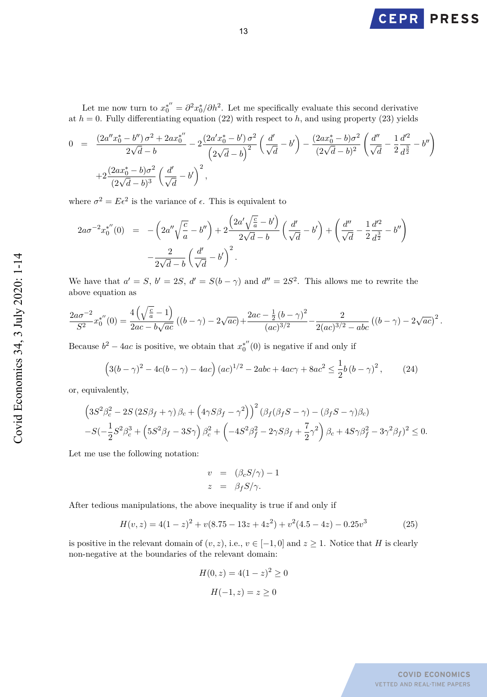

Let me now turn to  $x_0^{*''} = \frac{\partial^2 x_0^*}{\partial h^2}$ . Let me specifically evaluate this second derivative at  $h = 0$ . Fully differentiating equation (22) with respect to  $h$ , and using property (23) yields

$$
0 = \frac{(2a''x_0^* - b'')\sigma^2 + 2ax_0^{*''}}{2\sqrt{d} - b} - 2\frac{(2a'x_0^* - b')\sigma^2}{(2\sqrt{d} - b)^2} \left(\frac{d'}{\sqrt{d}} - b'\right) - \frac{(2ax_0^* - b)\sigma^2}{(2\sqrt{d} - b)^2} \left(\frac{d''}{\sqrt{d}} - \frac{1}{2}\frac{d'^2}{d^{\frac{3}{2}}} - b''\right) + 2\frac{(2ax_0^* - b)\sigma^2}{(2\sqrt{d} - b)^3} \left(\frac{d'}{\sqrt{d}} - b'\right)^2,
$$

where  $\sigma^2 = E\epsilon^2$  is the variance of  $\epsilon$ . This is equivalent to

$$
2a\sigma^{-2}x_0^{*''}(0) = -\left(2a''\sqrt{\frac{c}{a}} - b''\right) + 2\frac{\left(2a'\sqrt{\frac{c}{a}} - b'\right)}{2\sqrt{d} - b}\left(\frac{d'}{\sqrt{d}} - b'\right) + \left(\frac{d''}{\sqrt{d}} - \frac{1}{2}\frac{d'^2}{d^{\frac{3}{2}}} - b''\right) - \frac{2}{2\sqrt{d} - b}\left(\frac{d'}{\sqrt{d}} - b'\right)^2.
$$

We have that  $a' = S$ ,  $b' = 2S$ ,  $d' = S(b - \gamma)$  and  $d'' = 2S^2$ . This allows me to rewrite the above equation as

$$
\frac{2a\sigma^{-2}}{S^2}x_0^{*\prime\prime}(0) = \frac{4\left(\sqrt{\frac{c}{a}}-1\right)}{2ac - b\sqrt{ac}}\left((b-\gamma) - 2\sqrt{ac}\right) + \frac{2ac - \frac{1}{2}(b-\gamma)^2}{(ac)^{3/2}} - \frac{2}{2(ac)^{3/2} - abc}\left((b-\gamma) - 2\sqrt{ac}\right)^2.
$$

Because  $b^2 - 4ac$  is positive, we obtain that  $x_0^{*''}(0)$  is negative if and only if

$$
(3(b - \gamma)^2 - 4c(b - \gamma) - 4ac) (ac)^{1/2} - 2abc + 4ac\gamma + 8ac^2 \le \frac{1}{2}b(b - \gamma)^2, \qquad (24)
$$

or, equivalently,

$$
\left(3S^2\beta_c^2 - 2S(2S\beta_f + \gamma)\beta_c + \left(4\gamma S\beta_f - \gamma^2\right)\right)^2 \left(\beta_f(\beta_f S - \gamma) - (\beta_f S - \gamma)\beta_c\right)
$$
  
-S\left(-\frac{1}{2}S^2\beta\_c^3 + \left(5S^2\beta\_f - 3S\gamma\right)\beta\_c^2 + \left(-4S^2\beta\_f^2 - 2\gamma S\beta\_f + \frac{7}{2}\gamma^2\right)\beta\_c + 4S\gamma\beta\_f^2 - 3\gamma^2\beta\_f\right)^2 \le 0.

Let me use the following notation:

$$
v = (\beta_c S/\gamma) - 1
$$
  

$$
z = \beta_f S/\gamma.
$$

After tedious manipulations, the above inequality is true if and only if

$$
H(v, z) = 4(1 - z)^{2} + v(8.75 - 13z + 4z^{2}) + v^{2}(4.5 - 4z) - 0.25v^{3}
$$
 (25)

is positive in the relevant domain of  $(v, z)$ , i.e.,  $v \in [-1, 0]$  and  $z \ge 1$ . Notice that *H* is clearly non-negative at the boundaries of the relevant domain:

$$
H(0, z) = 4(1 - z)2 \ge 0
$$

$$
H(-1, z) = z \ge 0
$$